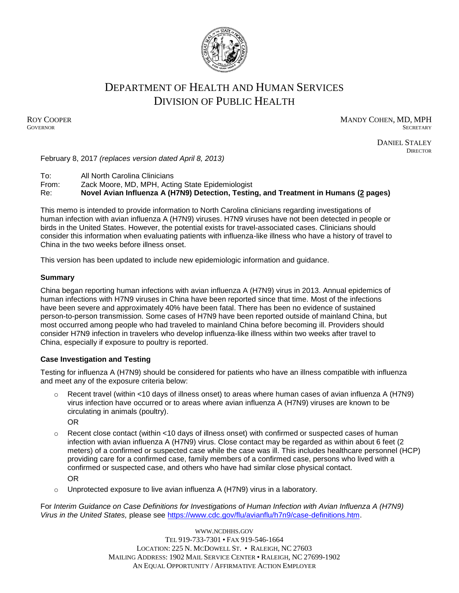

# DEPARTMENT OF HEALTH AND HUMAN SERVICES DIVISION OF PUBLIC HEALTH

ROY COOPER MANDY COHEN, MD, MPH GOVERNOR SECRETARY **GOVERNOR** SECRETARY SECRETARY

> DANIEL STALEY **DIRECTOR**

February 8, 2017 *(replaces version dated April 8, 2013)*

To: All North Carolina Clinicians

From: Zack Moore, MD, MPH, Acting State Epidemiologist

Re: **Novel Avian Influenza A (H7N9) Detection, Testing, and Treatment in Humans (2 pages)**

This memo is intended to provide information to North Carolina clinicians regarding investigations of human infection with avian influenza A (H7N9) viruses. H7N9 viruses have not been detected in people or birds in the United States. However, the potential exists for travel-associated cases. Clinicians should consider this information when evaluating patients with influenza-like illness who have a history of travel to China in the two weeks before illness onset.

This version has been updated to include new epidemiologic information and guidance.

### **Summary**

China began reporting human infections with avian influenza A (H7N9) virus in 2013. Annual epidemics of human infections with H7N9 viruses in China have been reported since that time. Most of the infections have been severe and approximately 40% have been fatal. There has been no evidence of sustained person-to-person transmission. Some cases of H7N9 have been reported outside of mainland China, but most occurred among people who had traveled to mainland China before becoming ill. Providers should consider H7N9 infection in travelers who develop influenza-like illness within two weeks after travel to China, especially if exposure to poultry is reported.

### **Case Investigation and Testing**

Testing for influenza A (H7N9) should be considered for patients who have an illness compatible with influenza and meet any of the exposure criteria below:

- $\circ$  Recent travel (within <10 days of illness onset) to areas where human cases of avian influenza A (H7N9) virus infection have occurred or to areas where avian influenza A (H7N9) viruses are known to be circulating in animals (poultry). OR
- $\circ$  Recent close contact (within <10 days of illness onset) with confirmed or suspected cases of human infection with avian influenza A (H7N9) virus. Close contact may be regarded as within about 6 feet (2 meters) of a confirmed or suspected case while the case was ill. This includes healthcare personnel (HCP) providing care for a confirmed case, family members of a confirmed case, persons who lived with a confirmed or suspected case, and others who have had similar close physical contact. OR
- o Unprotected exposure to live avian influenza A (H7N9) virus in a laboratory.

For *Interim Guidance on Case Definitions for Investigations of Human Infection with Avian Influenza A (H7N9) Virus in the United States,* please see [https://www.cdc.gov/flu/avianflu/h7n9/case-definitions.htm.](https://www.cdc.gov/flu/avianflu/h7n9/case-definitions.htm)

> WWW.[NCDHHS](http://www.ncdhhs.gov/).GOV TEL 919-733-7301 • FAX 919-546-1664 LOCATION: 225 N. MCDOWELL ST. • RALEIGH, NC 27603 MAILING ADDRESS: 1902 MAIL SERVICE CENTER • RALEIGH, NC 27699-1902 AN EQUAL OPPORTUNITY / AFFIRMATIVE ACTION EMPLOYER